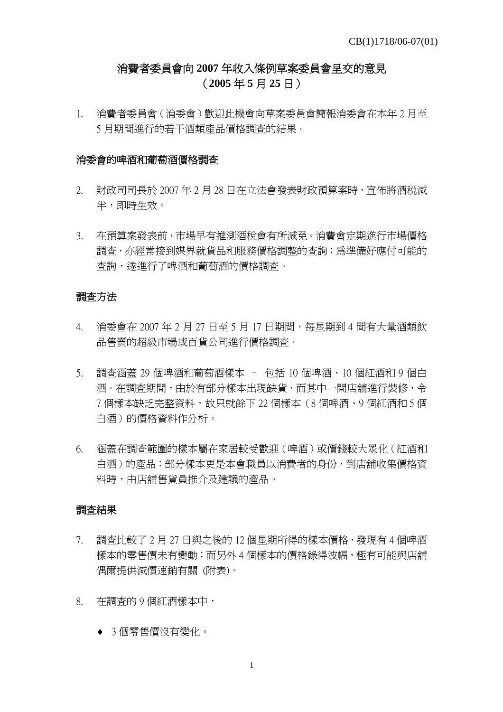# 消費者委員會向 **2007** 年收入條例草案委員會呈交的意見 (**2005** 年 **5** 月 **25** 日)

1. 消費者委員會(消委會)歡迎此機會向草案委員會簡報消委會在本年 2 月至 5 月期間進行的若干酒類產品價格調查的結果。

#### 消委會的啤酒和葡萄酒價格調查

- 2. 財政司司長於 2007 年 2 月 28 日在立法會發表財政預算案時,宣佈將酒税減 半,即時生效。
- 3. 在預算案發表前,市場早有推測酒稅會有所減免。消費會定期進行市場價格 調查,亦經常接到媒界就貨品和服務價格調整的查詢;為準備好應付可能的 查詢,遂進行了啤酒和葡萄酒的價格調查。

## 調查方法

- 4. 消委會在 2007 年 2 月 27 日至 5 月 17 日期間,每星期到 4 間有大量酒類飲 品售賣的超級市場或百貨公司進行價格調查。
- 5. 調查涵蓋 29 個啤酒和葡萄酒樣本 包括 10 個啤酒、10 個紅酒和 9 個白 酒。在調査期間,由於有部分樣本出現缺貨,而其中一間店舖進行裝修,令 7 個樣本缺乏完整資料,故只就餘下 22 個樣本(8 個啤酒、9 個紅酒和 5 個 白酒)的價格資料作分析。
- 6. 涵蓋在調查範圍的樣本屬在家居較受歡迎(啤酒)或價錢較大眾化(紅酒和 白酒)的產品;部分樣本更是本會職員以消費者的身份,到店舖收集價格資 料時,由店舖售貨員推介及建議的產品。

### 調查結果

- 7. 調查比較了 2 月 27 日與之後的 12 個星期所得的樣本價格,發現有 4 個啤酒 樣本的零售價未有變動;而另外 4 個樣本的價格錄得波幅,極有可能與店舖 偶爾提供減價速銷有關 (附表)。
- 8. 在調查的 9 個紅酒樣本中,
	- ♦ 3 個零售價沒有變化。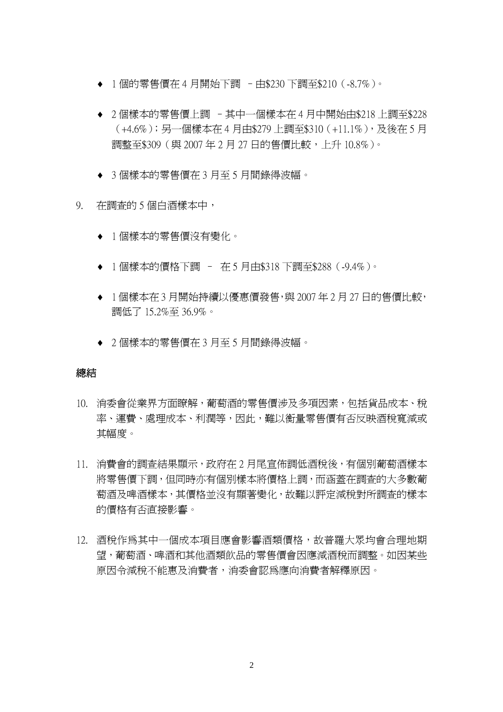- ◆ 1個的零售價在 4 月開始下調 中\$230 下調至\$210 (-8.7%)。
- ◆ 2個樣本的零售價上調 其中一個樣本在 4 月中開始由\$218 上調至\$228 (+4.6%);另一個樣本在 4 月由\$279 上調至\$310(+11.1%),及後在 5 月 調整至\$309 (與 2007年 2 月 27 日的售價比較,上升 10.8%)。
- ◆ 3個樣本的零售價在 3 月至 5 月間錄得波幅。
- 9. 在調查的 5 個白酒樣本中,
	- ♦ 1 個樣本的零售價沒有變化。
	- ♦ 1 個樣本的價格下調 在 5 月由\$318 下調至\$288(-9.4%)。
	- ◆ 1個樣本在 3 月開始持續以優惠價發售,與 2007 年 2 月 27 日的售價比較, 調低了 15.2%至 36.9%。
	- ♦ 2 個樣本的零售價在 3 月至 5 月間錄得波幅。

### 總結

- 10. 消委會從業界方面瞭解,葡萄酒的零售價涉及多項因素,包括貨品成本、稅 率、運費、處理成本、利潤等,因此,難以衡量零售價有否反映酒稅寬減或 其幅度。
- 11. 消費會的調查結果顯示,政府在 2 月尾宣佈調低酒稅後,有個別葡萄酒樣本 將零售價下調,但同時亦有個別樣本將價格上調,而涵蓋在調查的大多數葡 萄酒及啤酒樣本,其價格並沒有顯著變化,故難以評定減稅對所調查的樣本 的價格有否直接影響。
- 12. 酒稅作爲其中一個成本項目應會影響酒類價格,故普羅大眾均會合理地期 望,葡萄酒、啤酒和其他酒類飲品的零售價會因應減酒稅而調整。如因某些 原因令減稅不能惠及消費者,消委會認為應向消費者解釋原因。